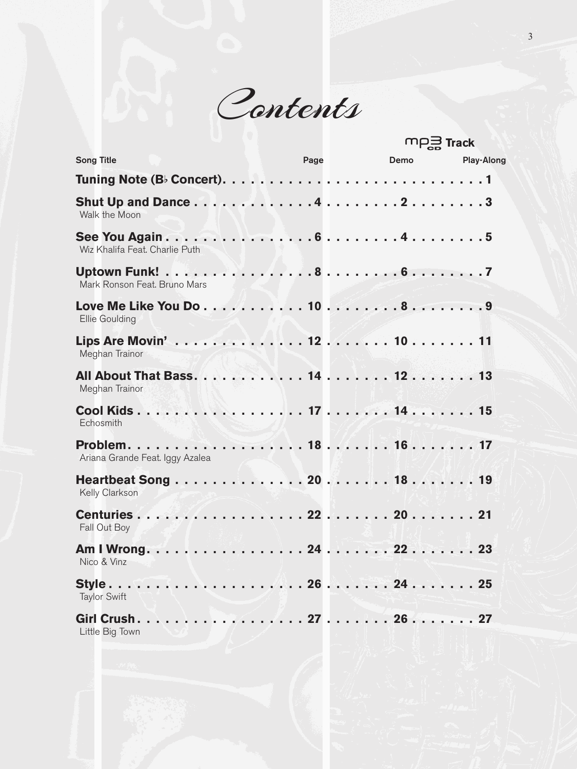Contents

|                                 |      |      | $mp\approx$ Track |  |
|---------------------------------|------|------|-------------------|--|
| <b>Song Title</b>               | Page | Demo | <b>Play-Along</b> |  |
|                                 |      |      |                   |  |
| Walk the Moon                   |      |      |                   |  |
| Wiz Khalifa Feat. Charlie Puth  |      |      |                   |  |
| Mark Ronson Feat. Bruno Mars    |      |      |                   |  |
| Ellie Goulding                  |      |      |                   |  |
| Meghan Trainor                  |      |      |                   |  |
| Meghan Trainor                  |      |      |                   |  |
| Echosmith                       |      |      |                   |  |
| Ariana Grande Feat. Iggy Azalea |      |      |                   |  |
| Kelly Clarkson                  |      |      |                   |  |
| Fall Out Boy                    |      |      |                   |  |
| Nico & Vinz                     |      |      |                   |  |
| <b>Taylor Swift</b>             |      |      |                   |  |
| Little Big Town                 |      |      |                   |  |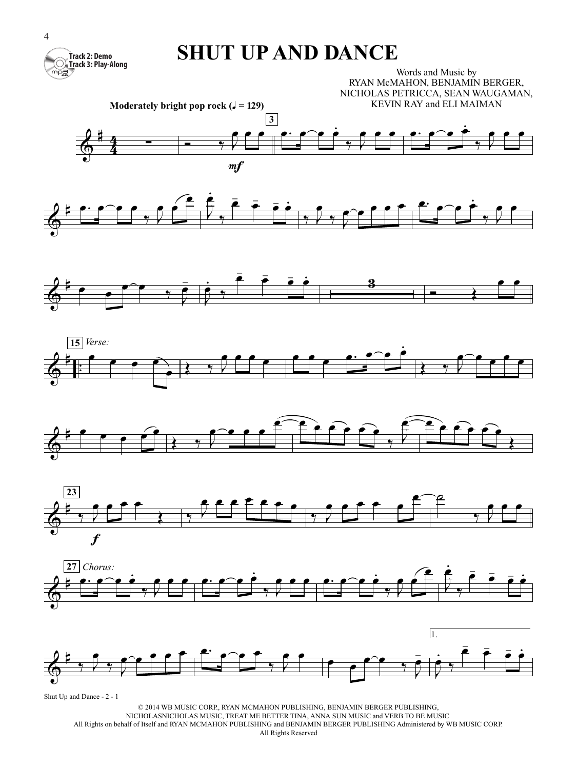

## **SHUT UP AND DANCE**

Words and Music by RYAN McMAHON, BENJAMIN BERGER, NICHOLAS PETRICCA, SEAN WAUGAMAN, KEVIN RAY and ELI MAIMAN



© 2014 WB MUSIC CORP., RYAN MCMAHON PUBLISHING, BENJAMIN BERGER PUBLISHING, NICHOLASNICHOLAS MUSIC, TREAT ME BETTER TINA, ANNA SUN MUSIC and VERB TO BE MUSIC All Rights on behalf of Itself and RYAN MCMAHON PUBLISHING and BENJAMIN BERGER PUBLISHING Administered by WB MUSIC CORP. All Rights Reserved